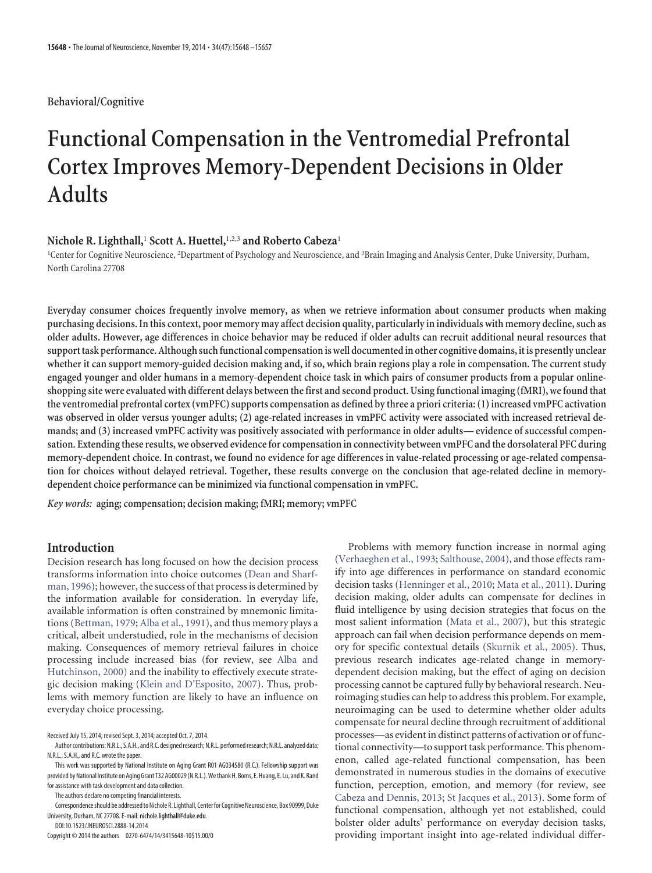# **Behavioral/Cognitive**

# **Functional Compensation in the Ventromedial Prefrontal Cortex Improves Memory-Dependent Decisions in Older Adults**

# **Nichole R. Lighthall,**<sup>1</sup> **Scott A. Huettel,**1,2,3 **and Roberto Cabeza**<sup>1</sup>

<sup>1</sup>Center for Cognitive Neuroscience, <sup>2</sup>Department of Psychology and Neuroscience, and <sup>3</sup>Brain Imaging and Analysis Center, Duke University, Durham, North Carolina 27708

**Everyday consumer choices frequently involve memory, as when we retrieve information about consumer products when making purchasing decisions. In this context, poor memory may affect decision quality, particularly in individuals with memory decline, such as older adults. However, age differences in choice behavior may be reduced if older adults can recruit additional neural resources that** support task performance. Although such functional compensation is well documented in other cognitive domains, it is presently unclear **whether it can support memory-guided decision making and, if so, which brain regions play a role in compensation. The current study engaged younger and older humans in a memory-dependent choice task in which pairs of consumer products from a popular onlineshopping site were evaluated with different delays between the first and second product. Using functional imaging (fMRI), we found that the ventromedial prefrontal cortex (vmPFC) supports compensation as defined by three a priori criteria: (1) increased vmPFC activation was observed in older versus younger adults; (2) age-related increases in vmPFC activity were associated with increased retrieval demands; and (3) increased vmPFC activity was positively associated with performance in older adults— evidence of successful compensation. Extending these results, we observed evidence for compensation in connectivity between vmPFC and the dorsolateral PFC during memory-dependent choice. In contrast, we found no evidence for age differences in value-related processing or age-related compensation for choices without delayed retrieval. Together, these results converge on the conclusion that age-related decline in memorydependent choice performance can be minimized via functional compensation in vmPFC.**

*Key words:* **aging; compensation; decision making; fMRI; memory; vmPFC**

# **Introduction**

Decision research has long focused on how the decision process transforms information into choice outcomes [\(Dean and Sharf](#page-8-0)[man, 1996\)](#page-8-0); however, the success of that process is determined by the information available for consideration. In everyday life, available information is often constrained by mnemonic limitations [\(Bettman, 1979;](#page-7-0) [Alba et al., 1991\)](#page-7-1), and thus memory plays a critical, albeit understudied, role in the mechanisms of decision making. Consequences of memory retrieval failures in choice processing include increased bias (for review, see [Alba and](#page-7-2) [Hutchinson, 2000\)](#page-7-2) and the inability to effectively execute strategic decision making [\(Klein and D'Esposito, 2007\)](#page-8-1). Thus, problems with memory function are likely to have an influence on everyday choice processing.

The authors declare no competing financial interests.

Correspondence should be addressed to Nichole R. Lighthall, Center for Cognitive Neuroscience, Box 90999, Duke University, Durham, NC 27708. E-mail: nichole.lighthall@duke.edu.

DOI:10.1523/JNEUROSCI.2888-14.2014 Copyright © 2014 the authors 0270-6474/14/3415648-10\$15.00/0

Problems with memory function increase in normal aging [\(Verhaeghen et al., 1993;](#page-9-0) [Salthouse, 2004\)](#page-8-2), and those effects ramify into age differences in performance on standard economic decision tasks [\(Henninger et al., 2010;](#page-8-3) [Mata et al., 2011\)](#page-8-4). During decision making, older adults can compensate for declines in fluid intelligence by using decision strategies that focus on the most salient information [\(Mata et al., 2007\)](#page-8-5), but this strategic approach can fail when decision performance depends on memory for specific contextual details [\(Skurnik et al., 2005\)](#page-8-6). Thus, previous research indicates age-related change in memorydependent decision making, but the effect of aging on decision processing cannot be captured fully by behavioral research. Neuroimaging studies can help to address this problem. For example, neuroimaging can be used to determine whether older adults compensate for neural decline through recruitment of additional processes—as evident in distinct patterns of activation or of functional connectivity—to support task performance. This phenomenon, called age-related functional compensation, has been demonstrated in numerous studies in the domains of executive function, perception, emotion, and memory (for review, see [Cabeza and Dennis, 2013;](#page-8-7) [St Jacques et al., 2013\)](#page-9-1). Some form of functional compensation, although yet not established, could bolster older adults' performance on everyday decision tasks, providing important insight into age-related individual differ-

Received July 15, 2014; revised Sept. 3, 2014; accepted Oct. 7, 2014.

Author contributions: N.R.L., S.A.H., and R.C. designed research; N.R.L. performed research; N.R.L. analyzed data; N.R.L., S.A.H., and R.C. wrote the paper.

This work was supported by National Institute on Aging Grant R01 AG034580 (R.C.). Fellowship support was provided by National Institute on Aging Grant T32 AG00029(N.R.L.).Wethank H. Boms, E. Huang, E. Lu, and K. Rand for assistance with task development and data collection.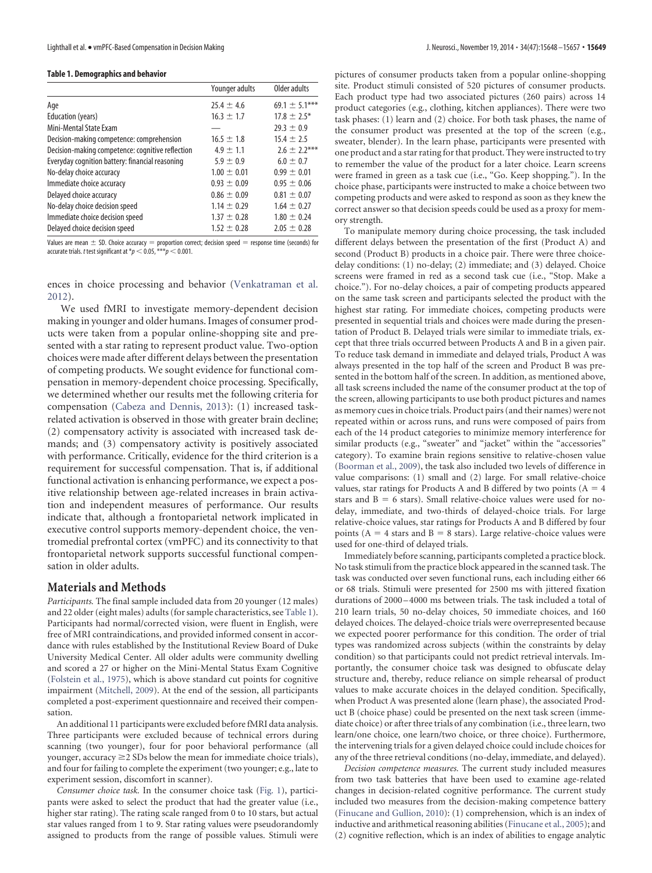#### <span id="page-1-0"></span>**Table 1. Demographics and behavior**

|                                                  | Younger adults  | Older adults      |
|--------------------------------------------------|-----------------|-------------------|
| Age                                              | $25.4 \pm 4.6$  | $69.1 \pm 5.1***$ |
| Education (years)                                | $16.3 \pm 1.7$  | $17.8 \pm 2.5^*$  |
| Mini-Mental State Exam                           |                 | $29.3 \pm 0.9$    |
| Decision-making competence: comprehension        | $16.5 \pm 1.8$  | $15.4 \pm 2.5$    |
| Decision-making competence: cognitive reflection | $4.9 \pm 1.1$   | $2.6 \pm 2.2***$  |
| Everyday cognition battery: financial reasoning  | $5.9 \pm 0.9$   | $6.0 \pm 0.7$     |
| No-delay choice accuracy                         | $1.00 \pm 0.01$ | $0.99 \pm 0.01$   |
| Immediate choice accuracy                        | $0.93 \pm 0.09$ | $0.95 \pm 0.06$   |
| Delayed choice accuracy                          | $0.86 \pm 0.09$ | $0.81 \pm 0.07$   |
| No-delay choice decision speed                   | $1.14 \pm 0.29$ | $1.64 \pm 0.27$   |
| Immediate choice decision speed                  | $1.37 \pm 0.28$ | $1.80 \pm 0.24$   |
| Delayed choice decision speed                    | $1.52 \pm 0.28$ | $2.05 \pm 0.28$   |

Values are mean  $\pm$  SD. Choice accuracy  $=$  proportion correct; decision speed  $=$  response time (seconds) for accurate trials. *t* test significant at  $p < 0.05$ ,  $***p < 0.001$ .

ences in choice processing and behavior [\(Venkatraman et al.](#page-9-2) [2012\)](#page-9-2).

We used fMRI to investigate memory-dependent decision making in younger and older humans. Images of consumer products were taken from a popular online-shopping site and presented with a star rating to represent product value. Two-option choices were made after different delays between the presentation of competing products. We sought evidence for functional compensation in memory-dependent choice processing. Specifically, we determined whether our results met the following criteria for compensation [\(Cabeza and Dennis, 2013\)](#page-8-7): (1) increased taskrelated activation is observed in those with greater brain decline; (2) compensatory activity is associated with increased task demands; and (3) compensatory activity is positively associated with performance. Critically, evidence for the third criterion is a requirement for successful compensation. That is, if additional functional activation is enhancing performance, we expect a positive relationship between age-related increases in brain activation and independent measures of performance. Our results indicate that, although a frontoparietal network implicated in executive control supports memory-dependent choice, the ventromedial prefrontal cortex (vmPFC) and its connectivity to that frontoparietal network supports successful functional compensation in older adults.

# **Materials and Methods**

*Participants.* The final sample included data from 20 younger (12 males) and 22 older (eight males) adults (for sample characteristics, see [Table 1\)](#page-1-0). Participants had normal/corrected vision, were fluent in English, were free of MRI contraindications, and provided informed consent in accordance with rules established by the Institutional Review Board of Duke University Medical Center. All older adults were community dwelling and scored a 27 or higher on the Mini-Mental Status Exam Cognitive [\(Folstein et al., 1975\)](#page-8-8), which is above standard cut points for cognitive impairment [\(Mitchell, 2009\)](#page-8-9). At the end of the session, all participants completed a post-experiment questionnaire and received their compensation.

An additional 11 participants were excluded before fMRI data analysis. Three participants were excluded because of technical errors during scanning (two younger), four for poor behavioral performance (all younger, accuracy  $\geq$  2 SDs below the mean for immediate choice trials), and four for failing to complete the experiment (two younger; e.g., late to experiment session, discomfort in scanner).

*Consumer choice task.* In the consumer choice task [\(Fig. 1\)](#page-2-0), participants were asked to select the product that had the greater value (i.e., higher star rating). The rating scale ranged from 0 to 10 stars, but actual star values ranged from 1 to 9. Star rating values were pseudorandomly assigned to products from the range of possible values. Stimuli were pictures of consumer products taken from a popular online-shopping site. Product stimuli consisted of 520 pictures of consumer products. Each product type had two associated pictures (260 pairs) across 14 product categories (e.g., clothing, kitchen appliances). There were two task phases: (1) learn and (2) choice. For both task phases, the name of the consumer product was presented at the top of the screen (e.g., sweater, blender). In the learn phase, participants were presented with one product and a star rating for that product. They were instructed to try to remember the value of the product for a later choice. Learn screens were framed in green as a task cue (i.e., "Go. Keep shopping."). In the choice phase, participants were instructed to make a choice between two competing products and were asked to respond as soon as they knew the correct answer so that decision speeds could be used as a proxy for memory strength.

To manipulate memory during choice processing, the task included different delays between the presentation of the first (Product A) and second (Product B) products in a choice pair. There were three choicedelay conditions: (1) no-delay; (2) immediate; and (3) delayed. Choice screens were framed in red as a second task cue (i.e., "Stop. Make a choice."). For no-delay choices, a pair of competing products appeared on the same task screen and participants selected the product with the highest star rating. For immediate choices, competing products were presented in sequential trials and choices were made during the presentation of Product B. Delayed trials were similar to immediate trials, except that three trials occurred between Products A and B in a given pair. To reduce task demand in immediate and delayed trials, Product A was always presented in the top half of the screen and Product B was presented in the bottom half of the screen. In addition, as mentioned above, all task screens included the name of the consumer product at the top of the screen, allowing participants to use both product pictures and names as memory cues in choice trials. Product pairs (and their names) were not repeated within or across runs, and runs were composed of pairs from each of the 14 product categories to minimize memory interference for similar products (e.g., "sweater" and "jacket" within the "accessories" category). To examine brain regions sensitive to relative-chosen value [\(Boorman et al., 2009\)](#page-7-3), the task also included two levels of difference in value comparisons: (1) small and (2) large. For small relative-choice values, star ratings for Products A and B differed by two points  $(A = 4)$ stars and  $B = 6$  stars). Small relative-choice values were used for nodelay, immediate, and two-thirds of delayed-choice trials. For large relative-choice values, star ratings for Products A and B differed by four points ( $A = 4$  stars and  $B = 8$  stars). Large relative-choice values were used for one-third of delayed trials.

Immediately before scanning, participants completed a practice block. No task stimuli from the practice block appeared in the scanned task. The task was conducted over seven functional runs, each including either 66 or 68 trials. Stimuli were presented for 2500 ms with jittered fixation durations of 2000-4000 ms between trials. The task included a total of 210 learn trials, 50 no-delay choices, 50 immediate choices, and 160 delayed choices. The delayed-choice trials were overrepresented because we expected poorer performance for this condition. The order of trial types was randomized across subjects (within the constraints by delay condition) so that participants could not predict retrieval intervals. Importantly, the consumer choice task was designed to obfuscate delay structure and, thereby, reduce reliance on simple rehearsal of product values to make accurate choices in the delayed condition. Specifically, when Product A was presented alone (learn phase), the associated Product B (choice phase) could be presented on the next task screen (immediate choice) or after three trials of any combination (i.e., three learn, two learn/one choice, one learn/two choice, or three choice). Furthermore, the intervening trials for a given delayed choice could include choices for any of the three retrieval conditions (no-delay, immediate, and delayed).

*Decision competence measures.* The current study included measures from two task batteries that have been used to examine age-related changes in decision-related cognitive performance. The current study included two measures from the decision-making competence battery [\(Finucane and Gullion, 2010\)](#page-8-10): (1) comprehension, which is an index of inductive and arithmetical reasoning abilities [\(Finucane et al., 2005\)](#page-8-11); and (2) cognitive reflection, which is an index of abilities to engage analytic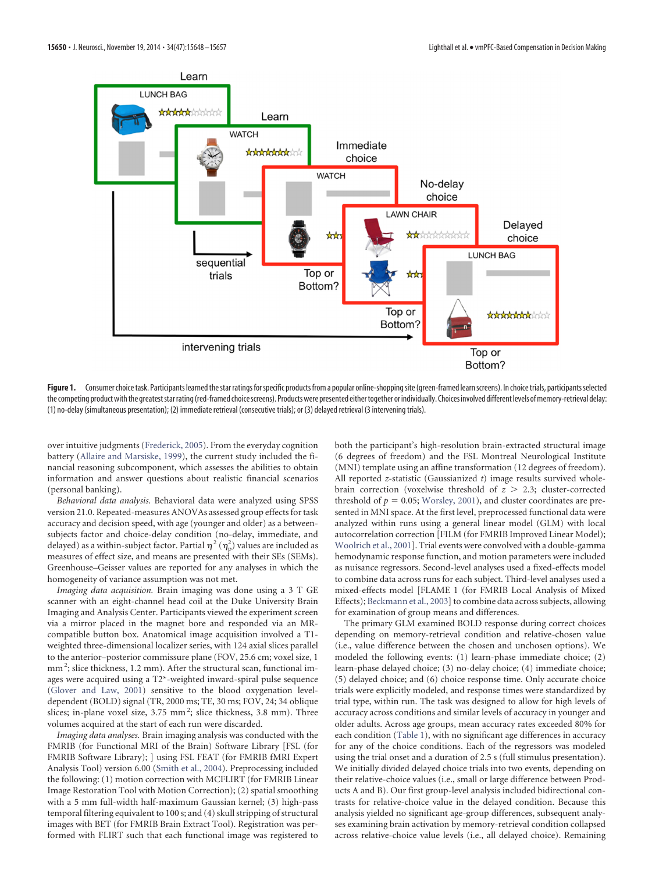

<span id="page-2-0"></span>Figure 1. Consumer choice task. Participants learned the star ratings for specific products from a popular online-shopping site (green-framed learn screens). In choice trials, participants selected the competing product with the greatest star rating (red-framed choice screens). Products were presented either together or individually. Choices involved different levels of memory-retrieval delay: (1) no-delay (simultaneous presentation); (2) immediate retrieval (consecutive trials); or (3) delayed retrieval (3 intervening trials).

over intuitive judgments [\(Frederick, 2005\)](#page-8-12). From the everyday cognition battery [\(Allaire and Marsiske, 1999\)](#page-7-4), the current study included the financial reasoning subcomponent, which assesses the abilities to obtain information and answer questions about realistic financial scenarios (personal banking).

*Behavioral data analysis.* Behavioral data were analyzed using SPSS version 21.0. Repeated-measures ANOVAs assessed group effects for task accuracy and decision speed, with age (younger and older) as a betweensubjects factor and choice-delay condition (no-delay, immediate, and delayed) as a within-subject factor. Partial  $\eta^{\,2}$  (  $\eta_{\rm p}^{\rm 2}$  ) values are included as measures of effect size, and means are presented with their SEs (SEMs). Greenhouse–Geisser values are reported for any analyses in which the homogeneity of variance assumption was not met.

*Imaging data acquisition.* Brain imaging was done using a 3 T GE scanner with an eight-channel head coil at the Duke University Brain Imaging and Analysis Center. Participants viewed the experiment screen via a mirror placed in the magnet bore and responded via an MRcompatible button box. Anatomical image acquisition involved a T1 weighted three-dimensional localizer series, with 124 axial slices parallel to the anterior–posterior commissure plane (FOV, 25.6 cm; voxel size, 1 mm<sup>2</sup>; slice thickness, 1.2 mm). After the structural scan, functional images were acquired using a T2\*-weighted inward-spiral pulse sequence [\(Glover and Law, 2001\)](#page-8-13) sensitive to the blood oxygenation leveldependent (BOLD) signal (TR, 2000 ms; TE, 30 ms; FOV, 24; 34 oblique slices; in-plane voxel size, 3.75 mm<sup>2</sup>; slice thickness, 3.8 mm). Three volumes acquired at the start of each run were discarded.

*Imaging data analyses.* Brain imaging analysis was conducted with the FMRIB (for Functional MRI of the Brain) Software Library [FSL (for FMRIB Software Library); ] using FSL FEAT (for FMRIB fMRI Expert Analysis Tool) version 6.00 [\(Smith et al., 2004\)](#page-8-14). Preprocessing included the following: (1) motion correction with MCFLIRT (for FMRIB Linear Image Restoration Tool with Motion Correction); (2) spatial smoothing with a 5 mm full-width half-maximum Gaussian kernel; (3) high-pass temporal filtering equivalent to 100 s; and (4) skull stripping of structural images with BET (for FMRIB Brain Extract Tool). Registration was performed with FLIRT such that each functional image was registered to both the participant's high-resolution brain-extracted structural image (6 degrees of freedom) and the FSL Montreal Neurological Institute (MNI) template using an affine transformation (12 degrees of freedom). All reported *z*-statistic (Gaussianized *t*) image results survived wholebrain correction (voxelwise threshold of  $z > 2.3$ ; cluster-corrected threshold of  $p = 0.05$ ; [Worsley, 2001\)](#page-9-3), and cluster coordinates are presented in MNI space. At the first level, preprocessed functional data were analyzed within runs using a general linear model (GLM) with local autocorrelation correction [FILM (for FMRIB Improved Linear Model); [Woolrich et al., 2001\]](#page-9-4). Trial events were convolved with a double-gamma hemodynamic response function, and motion parameters were included as nuisance regressors. Second-level analyses used a fixed-effects model to combine data across runs for each subject. Third-level analyses used a mixed-effects model [FLAME 1 (for FMRIB Local Analysis of Mixed Effects); [Beckmann et al., 2003\]](#page-7-5) to combine data across subjects, allowing for examination of group means and differences.

The primary GLM examined BOLD response during correct choices depending on memory-retrieval condition and relative-chosen value (i.e., value difference between the chosen and unchosen options). We modeled the following events: (1) learn-phase immediate choice; (2) learn-phase delayed choice; (3) no-delay choice; (4) immediate choice; (5) delayed choice; and (6) choice response time. Only accurate choice trials were explicitly modeled, and response times were standardized by trial type, within run. The task was designed to allow for high levels of accuracy across conditions and similar levels of accuracy in younger and older adults. Across age groups, mean accuracy rates exceeded 80% for each condition [\(Table 1\)](#page-1-0), with no significant age differences in accuracy for any of the choice conditions. Each of the regressors was modeled using the trial onset and a duration of 2.5 s (full stimulus presentation). We initially divided delayed choice trials into two events, depending on their relative-choice values (i.e., small or large difference between Products A and B). Our first group-level analysis included bidirectional contrasts for relative-choice value in the delayed condition. Because this analysis yielded no significant age-group differences, subsequent analyses examining brain activation by memory-retrieval condition collapsed across relative-choice value levels (i.e., all delayed choice). Remaining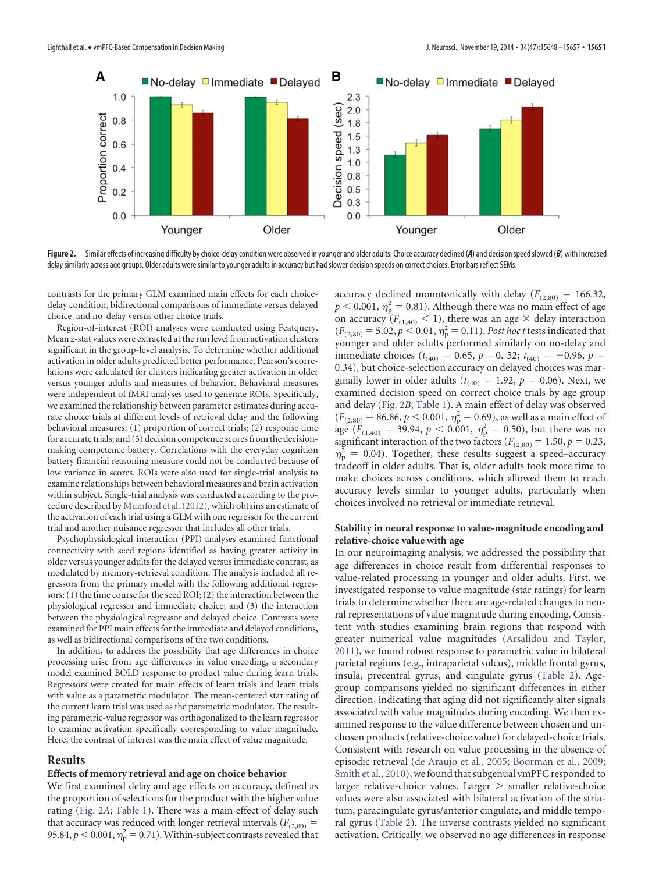

<span id="page-3-0"></span>Figure 2. Similar effects of increasing difficulty by choice-delay condition were observed in younger and older adults. Choice accuracy declined (*A*) and decision speed slowed (*B*) with increased delay similarly across age groups. Older adults were similar to younger adults in accuracy but had slower decision speeds on correct choices. Error bars reflect SEMs.

contrasts for the primary GLM examined main effects for each choicedelay condition, bidirectional comparisons of immediate versus delayed choice, and no-delay versus other choice trials.

Region-of-interest (ROI) analyses were conducted using Featquery. Mean *z*-stat values were extracted at the run level from activation clusters significant in the group-level analysis. To determine whether additional activation in older adults predicted better performance, Pearson's correlations were calculated for clusters indicating greater activation in older versus younger adults and measures of behavior. Behavioral measures were independent of fMRI analyses used to generate ROIs. Specifically, we examined the relationship between parameter estimates during accurate choice trials at different levels of retrieval delay and the following behavioral measures: (1) proportion of correct trials; (2) response time for accurate trials; and (3) decision competence scores from the decisionmaking competence battery. Correlations with the everyday cognition battery financial reasoning measure could not be conducted because of low variance in scores. ROIs were also used for single-trial analysis to examine relationships between behavioral measures and brain activation within subject. Single-trial analysis was conducted according to the procedure described by [Mumford et al. \(2012\),](#page-8-15) which obtains an estimate of the activation of each trial using a GLM with one regressor for the current trial and another nuisance regressor that includes all other trials.

Psychophysiological interaction (PPI) analyses examined functional connectivity with seed regions identified as having greater activity in older versus younger adults for the delayed versus immediate contrast, as modulated by memory-retrieval condition. The analysis included all regressors from the primary model with the following additional regressors: (1) the time course for the seed ROI; (2) the interaction between the physiological regressor and immediate choice; and (3) the interaction between the physiological regressor and delayed choice. Contrasts were examined for PPI main effects for the immediate and delayed conditions, as well as bidirectional comparisons of the two conditions.

In addition, to address the possibility that age differences in choice processing arise from age differences in value encoding, a secondary model examined BOLD response to product value during learn trials. Regressors were created for main effects of learn trials and learn trials with value as a parametric modulator. The mean-centered star rating of the current learn trial was used as the parametric modulator. The resulting parametric-value regressor was orthogonalized to the learn regressor to examine activation specifically corresponding to value magnitude. Here, the contrast of interest was the main effect of value magnitude.

## **Results**

## **Effects of memory retrieval and age on choice behavior**

We first examined delay and age effects on accuracy, defined as the proportion of selections for the product with the higher value rating [\(Fig. 2](#page-3-0)*A*; [Table 1\)](#page-1-0). There was a main effect of delay such that accuracy was reduced with longer retrieval intervals  $(F_{(2,80)} =$ 95.84,  $p < 0.001$ ,  $\eta_p^2 = 0.71$ ). Within-subject contrasts revealed that

accuracy declined monotonically with delay  $(F_{(2,80)} = 166.32)$ ,  $p < 0.001$ ,  $\eta_{\rm p}^2 = 0.81$ ). Although there was no main effect of age on accuracy  $(F_{(1,40)} < 1)$ , there was an age  $\times$  delay interaction  $(F_{(2,80)} = 5.02, p < 0.01, \eta_{\rm p}^2 = 0.11)$ . *Post hoc t* tests indicated that younger and older adults performed similarly on no-delay and immediate choices ( $t_{(40)} = 0.65$ ,  $p = 0.52$ ;  $t_{(40)} = -0.96$ ,  $p =$ 0.34), but choice-selection accuracy on delayed choices was marginally lower in older adults ( $t_{(40)} = 1.92$ ,  $p = 0.06$ ). Next, we examined decision speed on correct choice trials by age group and delay [\(Fig. 2](#page-3-0)*B*; [Table 1\)](#page-1-0). A main effect of delay was observed  $(F_{(2,80)} = 86.86, p < 0.001, \eta_{\rm p}^2 = 0.69)$ , as well as a main effect of age  $(F_{(1,40)} = 39.94, p < 0.001, \eta_{\rm p}^2 = 0.50)$ , but there was no significant interaction of the two factors ( $F_{(2,80)} = 1.50$ ,  $p = 0.23$ ,  $\eta_{\rm p}^{\rm \Sigma}$  = 0.04). Together, these results suggest a speed–accuracy tradeoff in older adults. That is, older adults took more time to make choices across conditions, which allowed them to reach accuracy levels similar to younger adults, particularly when choices involved no retrieval or immediate retrieval.

## **Stability in neural response to value-magnitude encoding and relative-choice value with age**

In our neuroimaging analysis, we addressed the possibility that age differences in choice result from differential responses to value-related processing in younger and older adults. First, we investigated response to value magnitude (star ratings) for learn trials to determine whether there are age-related changes to neural representations of value magnitude during encoding. Consistent with studies examining brain regions that respond with greater numerical value magnitudes [\(Arsalidou and Taylor,](#page-7-6) [2011\)](#page-7-6), we found robust response to parametric value in bilateral parietal regions (e.g., intraparietal sulcus), middle frontal gyrus, insula, precentral gyrus, and cingulate gyrus [\(Table 2\)](#page-4-0). Agegroup comparisons yielded no significant differences in either direction, indicating that aging did not significantly alter signals associated with value magnitudes during encoding. We then examined response to the value difference between chosen and unchosen products (relative-choice value) for delayed-choice trials. Consistent with research on value processing in the absence of episodic retrieval [\(de Araujo et al., 2005;](#page-8-16) [Boorman et al., 2009;](#page-7-3) [Smith et al., 2010\)](#page-8-17), we found that subgenual vmPFC responded to larger relative-choice values. Larger  $>$  smaller relative-choice values were also associated with bilateral activation of the striatum, paracingulate gyrus/anterior cingulate, and middle temporal gyrus [\(Table 2\)](#page-4-0). The inverse contrasts yielded no significant activation. Critically, we observed no age differences in response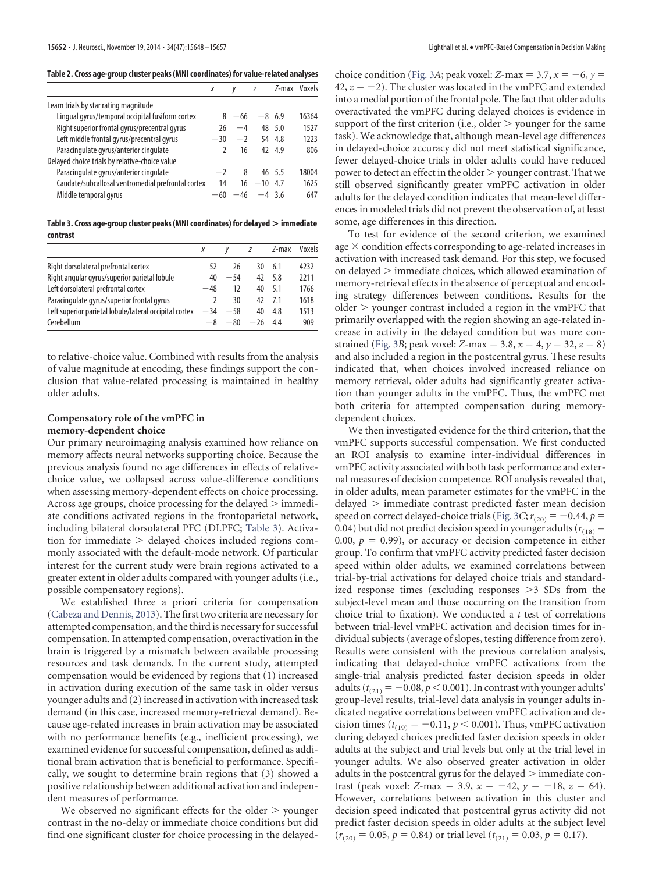<span id="page-4-0"></span>**Table 2. Cross age-group cluster peaks (MNI coordinates) for value-related analyses**

|                                                    | X             |          | Z              |        | Z-max Voxels |
|----------------------------------------------------|---------------|----------|----------------|--------|--------------|
| Learn trials by star rating magnitude              |               |          |                |        |              |
| Lingual gyrus/temporal occipital fusiform cortex   |               | $8 - 66$ | $-8,6.9$       |        | 16364        |
| Right superior frontal gyrus/precentral gyrus      | 26            | $-4$     |                | 48 5.0 | 1527         |
| Left middle frontal gyrus/precentral gyrus         | $-30$         | $-2$     |                | 54 4.8 | 1223         |
| Paracingulate gyrus/anterior cingulate             | $\mathfrak z$ | 16       |                | 42 4.9 | 806          |
| Delayed choice trials by relative-choice value     |               |          |                |        |              |
| Paracingulate gyrus/anterior cingulate             | — 2           | 8        |                | 46 5.5 | 18004        |
| Caudate/subcallosal ventromedial prefrontal cortex | 14            |          | $16 - 10 + 47$ |        | 1625         |
| Middle temporal gyrus                              | -60           |          | $-46 - 436$    |        | 647          |

<span id="page-4-1"></span>**Table 3. Cross age-group cluster peaks (MNI coordinates) for delayed > immediate contrast**

|                                                        | X     | V                   | Z  | Z-max | Voxels |
|--------------------------------------------------------|-------|---------------------|----|-------|--------|
| Right dorsolateral prefrontal cortex                   | 52    | 26                  | 30 | 6.1   | 4232   |
| Right angular gyrus/superior parietal lobule           | 40    | $-54$               | 42 | - 5.8 | 2211   |
| Left dorsolateral prefrontal cortex                    | $-48$ | 12                  | 40 | -5.1  | 1766   |
| Paracingulate gyrus/superior frontal gyrus             | 2     | 30                  | 42 | 7.1   | 1618   |
| Left superior parietal lobule/lateral occipital cortex | $-34$ | $-58$               | 40 | 4.8   | 1513   |
| Cerebellum                                             |       | $-8$ $-80$ $-26$ 44 |    |       | 909    |

to relative-choice value. Combined with results from the analysis of value magnitude at encoding, these findings support the conclusion that value-related processing is maintained in healthy older adults.

# **Compensatory role of the vmPFC in**

# **memory-dependent choice**

Our primary neuroimaging analysis examined how reliance on memory affects neural networks supporting choice. Because the previous analysis found no age differences in effects of relativechoice value, we collapsed across value-difference conditions when assessing memory-dependent effects on choice processing. Across age groups, choice processing for the delayed  $>$  immediate conditions activated regions in the frontoparietal network, including bilateral dorsolateral PFC (DLPFC; [Table 3\)](#page-4-1). Activation for immediate  $>$  delayed choices included regions commonly associated with the default-mode network. Of particular interest for the current study were brain regions activated to a greater extent in older adults compared with younger adults (i.e., possible compensatory regions).

We established three a priori criteria for compensation [\(Cabeza and Dennis, 2013\)](#page-8-7). The first two criteria are necessary for attempted compensation, and the third is necessary for successful compensation. In attempted compensation, overactivation in the brain is triggered by a mismatch between available processing resources and task demands. In the current study, attempted compensation would be evidenced by regions that (1) increased in activation during execution of the same task in older versus younger adults and (2) increased in activation with increased task demand (in this case, increased memory-retrieval demand). Because age-related increases in brain activation may be associated with no performance benefits (e.g., inefficient processing), we examined evidence for successful compensation, defined as additional brain activation that is beneficial to performance. Specifically, we sought to determine brain regions that (3) showed a positive relationship between additional activation and independent measures of performance.

We observed no significant effects for the older  $>$  younger contrast in the no-delay or immediate choice conditions but did find one significant cluster for choice processing in the delayed-

choice condition [\(Fig. 3](#page-5-0)A; peak voxel:  $Z$ -max = 3.7,  $x = -6$ ,  $y =$  $42, z = -2$ ). The cluster was located in the vmPFC and extended into a medial portion of the frontal pole. The fact that older adults overactivated the vmPFC during delayed choices is evidence in support of the first criterion (i.e., older  $>$  younger for the same task). We acknowledge that, although mean-level age differences in delayed-choice accuracy did not meet statistical significance, fewer delayed-choice trials in older adults could have reduced power to detect an effect in the older  $>$  younger contrast. That we still observed significantly greater vmPFC activation in older adults for the delayed condition indicates that mean-level differences in modeled trials did not prevent the observation of, at least some, age differences in this direction.

To test for evidence of the second criterion, we examined age  $\times$  condition effects corresponding to age-related increases in activation with increased task demand. For this step, we focused on delayed  $>$  immediate choices, which allowed examination of memory-retrieval effects in the absence of perceptual and encoding strategy differences between conditions. Results for the  $\alpha$ older  $>$  younger contrast included a region in the vmPFC that primarily overlapped with the region showing an age-related increase in activity in the delayed condition but was more con-strained [\(Fig. 3](#page-5-0)*B*; peak voxel: *Z*-max = 3.8,  $x = 4$ ,  $y = 32$ ,  $z = 8$ ) and also included a region in the postcentral gyrus. These results indicated that, when choices involved increased reliance on memory retrieval, older adults had significantly greater activation than younger adults in the vmPFC. Thus, the vmPFC met both criteria for attempted compensation during memorydependent choices.

We then investigated evidence for the third criterion, that the vmPFC supports successful compensation. We first conducted an ROI analysis to examine inter-individual differences in vmPFC activity associated with both task performance and external measures of decision competence. ROI analysis revealed that, in older adults, mean parameter estimates for the vmPFC in the  $delayed$   $>$  immediate contrast predicted faster mean decision speed on correct delayed-choice trials [\(Fig. 3](#page-5-0)C;  $r_{(20)} = -0.44$ ,  $p =$ 0.04) but did not predict decision speed in younger adults ( $r_{(18)} =$ 0.00,  $p = 0.99$ ), or accuracy or decision competence in either group. To confirm that vmPFC activity predicted faster decision speed within older adults, we examined correlations between trial-by-trial activations for delayed choice trials and standardized response times (excluding responses  $\geq$ 3 SDs from the subject-level mean and those occurring on the transition from choice trial to fixation). We conducted a *t* test of correlations between trial-level vmPFC activation and decision times for individual subjects (average of slopes, testing difference from zero). Results were consistent with the previous correlation analysis, indicating that delayed-choice vmPFC activations from the single-trial analysis predicted faster decision speeds in older adults ( $t_{(21)} = -0.08$ ,  $p < 0.001$ ). In contrast with younger adults' group-level results, trial-level data analysis in younger adults indicated negative correlations between vmPFC activation and decision times ( $t_{(19)} = -0.11$ ,  $p < 0.001$ ). Thus, vmPFC activation during delayed choices predicted faster decision speeds in older adults at the subject and trial levels but only at the trial level in younger adults. We also observed greater activation in older adults in the postcentral gyrus for the delayed  $>$  immediate contrast (peak voxel: *Z*-max = 3.9,  $x = -42$ ,  $y = -18$ ,  $z = 64$ ). However, correlations between activation in this cluster and decision speed indicated that postcentral gyrus activity did not predict faster decision speeds in older adults at the subject level  $(r_{(20)} = 0.05, p = 0.84)$  or trial level  $(t_{(21)} = 0.03, p = 0.17)$ .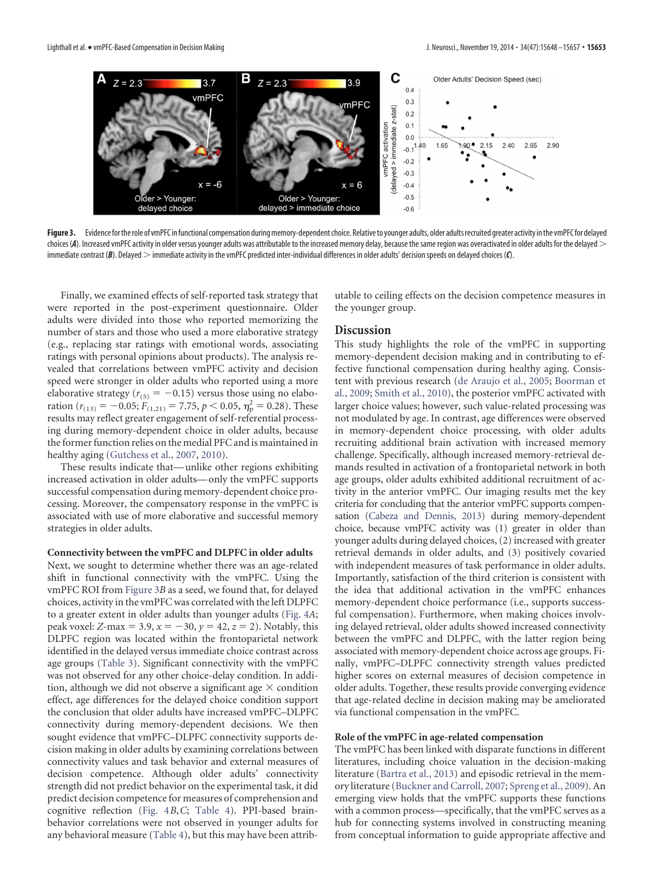

<span id="page-5-0"></span>Figure 3. Evidence for the role of vmPFC in functional compensation during memory-dependent choice. Relative to younger adults, older adults recruited greater activity in the vmPFC for delayed choices (A). Increased vmPFC activity in older versus younger adults was attributable to the increased memory delay, because the same region was overactivated in older adults for the delayed  $>$ immediate contrast (*B*). Delayed  $>$  immediate activity in the vmPFC predicted inter-individual differences in older adults' decision speeds on delayed choices (*C*).

Finally, we examined effects of self-reported task strategy that were reported in the post-experiment questionnaire. Older adults were divided into those who reported memorizing the number of stars and those who used a more elaborative strategy (e.g., replacing star ratings with emotional words, associating ratings with personal opinions about products). The analysis revealed that correlations between vmPFC activity and decision speed were stronger in older adults who reported using a more elaborative strategy ( $r_{(5)} = -0.15$ ) versus those using no elaboration ( $r_{(13)} = -0.05$ ;  $F_{(1,21)} = 7.75$ ,  $p < 0.05$ ,  $\eta_p^2 = 0.28$ ). These results may reflect greater engagement of self-referential processing during memory-dependent choice in older adults, because the former function relies on the medial PFC and is maintained in healthy aging [\(Gutchess et al., 2007,](#page-8-18) [2010\)](#page-8-19).

These results indicate that— unlike other regions exhibiting increased activation in older adults— only the vmPFC supports successful compensation during memory-dependent choice processing. Moreover, the compensatory response in the vmPFC is associated with use of more elaborative and successful memory strategies in older adults.

## **Connectivity between the vmPFC and DLPFC in older adults**

Next, we sought to determine whether there was an age-related shift in functional connectivity with the vmPFC. Using the vmPFC ROI from [Figure 3](#page-5-0)*B* as a seed, we found that, for delayed choices, activity in the vmPFC was correlated with the left DLPFC to a greater extent in older adults than younger adults [\(Fig. 4](#page-6-0)*A*; peak voxel: *Z*-max = 3.9,  $x = -30$ ,  $y = 42$ ,  $z = 2$ ). Notably, this DLPFC region was located within the frontoparietal network identified in the delayed versus immediate choice contrast across age groups [\(Table 3\)](#page-4-1). Significant connectivity with the vmPFC was not observed for any other choice-delay condition. In addition, although we did not observe a significant age  $\times$  condition effect, age differences for the delayed choice condition support the conclusion that older adults have increased vmPFC–DLPFC connectivity during memory-dependent decisions. We then sought evidence that vmPFC–DLPFC connectivity supports decision making in older adults by examining correlations between connectivity values and task behavior and external measures of decision competence. Although older adults' connectivity strength did not predict behavior on the experimental task, it did predict decision competence for measures of comprehension and cognitive reflection [\(Fig. 4](#page-6-0)*B*,*C*; [Table 4\)](#page-6-1). PPI-based brainbehavior correlations were not observed in younger adults for any behavioral measure [\(Table 4\)](#page-6-1), but this may have been attributable to ceiling effects on the decision competence measures in the younger group.

# **Discussion**

This study highlights the role of the vmPFC in supporting memory-dependent decision making and in contributing to effective functional compensation during healthy aging. Consistent with previous research [\(de Araujo et al., 2005;](#page-8-16) [Boorman et](#page-7-3) [al., 2009;](#page-7-3) [Smith et al., 2010\)](#page-8-17), the posterior vmPFC activated with larger choice values; however, such value-related processing was not modulated by age. In contrast, age differences were observed in memory-dependent choice processing, with older adults recruiting additional brain activation with increased memory challenge. Specifically, although increased memory-retrieval demands resulted in activation of a frontoparietal network in both age groups, older adults exhibited additional recruitment of activity in the anterior vmPFC. Our imaging results met the key criteria for concluding that the anterior vmPFC supports compensation [\(Cabeza and Dennis, 2013\)](#page-8-7) during memory-dependent choice, because vmPFC activity was (1) greater in older than younger adults during delayed choices, (2) increased with greater retrieval demands in older adults, and (3) positively covaried with independent measures of task performance in older adults. Importantly, satisfaction of the third criterion is consistent with the idea that additional activation in the vmPFC enhances memory-dependent choice performance (i.e., supports successful compensation). Furthermore, when making choices involving delayed retrieval, older adults showed increased connectivity between the vmPFC and DLPFC, with the latter region being associated with memory-dependent choice across age groups. Finally, vmPFC–DLPFC connectivity strength values predicted higher scores on external measures of decision competence in older adults. Together, these results provide converging evidence that age-related decline in decision making may be ameliorated via functional compensation in the vmPFC.

### **Role of the vmPFC in age-related compensation**

The vmPFC has been linked with disparate functions in different literatures, including choice valuation in the decision-making literature [\(Bartra et al., 2013\)](#page-7-7) and episodic retrieval in the memory literature [\(Buckner and Carroll, 2007;](#page-7-8) [Spreng et al., 2009\)](#page-8-20). An emerging view holds that the vmPFC supports these functions with a common process—specifically, that the vmPFC serves as a hub for connecting systems involved in constructing meaning from conceptual information to guide appropriate affective and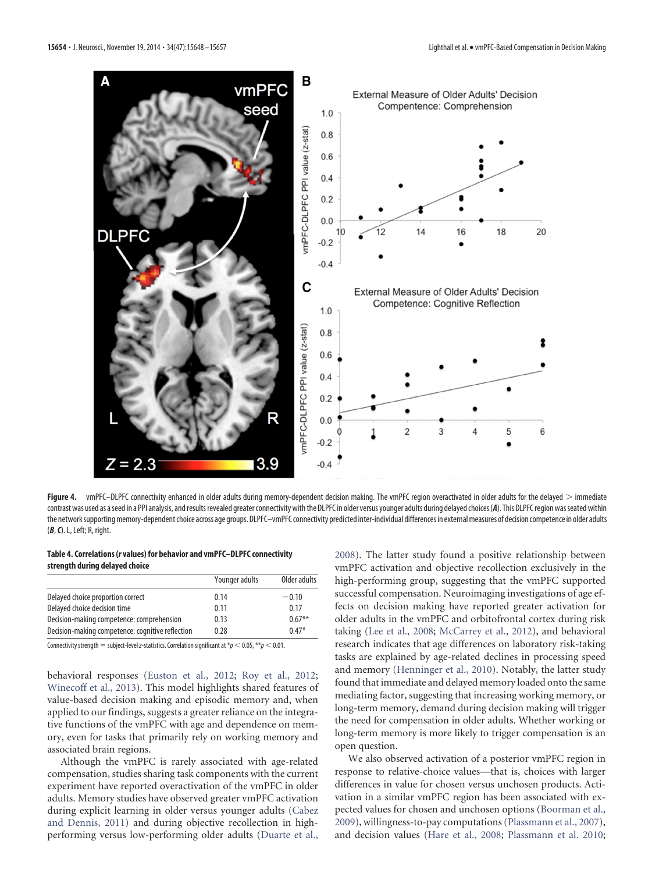

<span id="page-6-0"></span>Figure 4. vmPFC–DLPFC connectivity enhanced in older adults during memory-dependent decision making. The vmPFC region overactivated in older adults for the delayed  $>$  immediate contrast was used as aseed in a PPI analysis, and results revealed greater connectivity withthe DLPFC in older versus younger adults during delayed choices(*A*). This DLPFC region wasseated within the network supporting memory-dependent choice across age groups. DLPFC-vmPFC connectivity predicted inter-individual differences in external measures of decision competence in older adults (*B*,*C*). L, Left; R, right.

<span id="page-6-1"></span>**Table 4. Correlations (***r***values) for behavior and vmPFC–DLPFC connectivity strength during delayed choice**

|                                                  | Younger adults | Older adults |  |
|--------------------------------------------------|----------------|--------------|--|
| Delayed choice proportion correct                | 0.14           | $-0.10$      |  |
| Delayed choice decision time                     | 0.11           | 0.17         |  |
| Decision-making competence: comprehension        | 0.13           | $0.67**$     |  |
| Decision-making competence: cognitive reflection | 0.28           | $0.47*$      |  |

Connectivity strength  $=$  subject-level *z*-statistics. Correlation significant at  $*$   $p$   $<$  0.05,  $*$   $*$   $p$   $<$  0.01.

behavioral responses [\(Euston et al., 2012;](#page-8-21) [Roy et al., 2012;](#page-8-22) [Winecoff et al., 2013\)](#page-9-5). This model highlights shared features of value-based decision making and episodic memory and, when applied to our findings, suggests a greater reliance on the integrative functions of the vmPFC with age and dependence on memory, even for tasks that primarily rely on working memory and associated brain regions.

Although the vmPFC is rarely associated with age-related compensation, studies sharing task components with the current experiment have reported overactivation of the vmPFC in older adults. Memory studies have observed greater vmPFC activation during explicit learning in older versus younger adults [\(Cabez](#page-8-7) [and Dennis, 2011\)](#page-8-7) and during objective recollection in highperforming versus low-performing older adults [\(Duarte et al.,](#page-8-23) [2008\)](#page-8-23). The latter study found a positive relationship between vmPFC activation and objective recollection exclusively in the high-performing group, suggesting that the vmPFC supported successful compensation. Neuroimaging investigations of age effects on decision making have reported greater activation for older adults in the vmPFC and orbitofrontal cortex during risk taking [\(Lee et al., 2008;](#page-8-24) [McCarrey et al., 2012\)](#page-8-25), and behavioral research indicates that age differences on laboratory risk-taking tasks are explained by age-related declines in processing speed and memory [\(Henninger et al., 2010\)](#page-8-3). Notably, the latter study found that immediate and delayed memory loaded onto the same mediating factor, suggesting that increasing working memory, or long-term memory, demand during decision making will trigger the need for compensation in older adults. Whether working or long-term memory is more likely to trigger compensation is an open question.

We also observed activation of a posterior vmPFC region in response to relative-choice values—that is, choices with larger differences in value for chosen versus unchosen products. Activation in a similar vmPFC region has been associated with expected values for chosen and unchosen options [\(Boorman et al.,](#page-7-3) [2009\)](#page-7-3), willingness-to-pay computations [\(Plassmann et al., 2007\)](#page-8-26), and decision values [\(Hare et al., 2008;](#page-8-27) [Plassmann et al. 2010;](#page-8-28)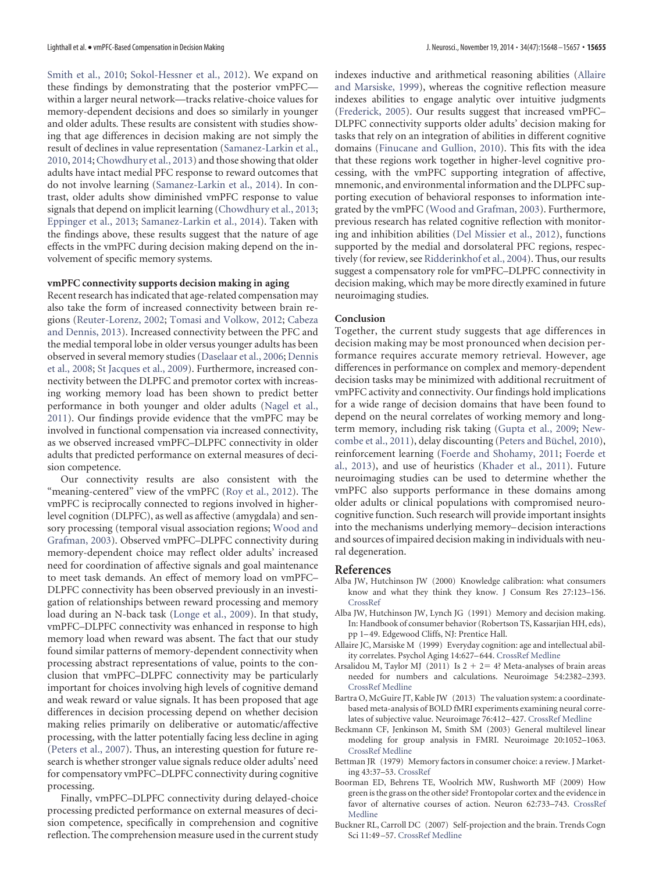[Smith et al., 2010;](#page-8-17) [Sokol-Hessner et al., 2012\)](#page-8-29). We expand on these findings by demonstrating that the posterior vmPFC within a larger neural network—tracks relative-choice values for memory-dependent decisions and does so similarly in younger and older adults. These results are consistent with studies showing that age differences in decision making are not simply the result of declines in value representation [\(Samanez-Larkin et al.,](#page-8-30) [2010,](#page-8-30) [2014;](#page-8-31)[Chowdhury et al., 2013\)](#page-8-32) and those showing that older adults have intact medial PFC response to reward outcomes that do not involve learning [\(Samanez-Larkin et al., 2014\)](#page-8-31). In contrast, older adults show diminished vmPFC response to value signals that depend on implicit learning [\(Chowdhury et al., 2013;](#page-8-32) [Eppinger et al., 2013;](#page-8-33) [Samanez-Larkin et al., 2014\)](#page-8-31). Taken with the findings above, these results suggest that the nature of age effects in the vmPFC during decision making depend on the involvement of specific memory systems.

## **vmPFC connectivity supports decision making in aging**

Recent research has indicated that age-related compensation may also take the form of increased connectivity between brain regions [\(Reuter-Lorenz, 2002;](#page-8-34) [Tomasi and Volkow, 2012;](#page-9-6) [Cabeza](#page-8-7) [and Dennis, 2013\)](#page-8-7). Increased connectivity between the PFC and the medial temporal lobe in older versus younger adults has been observed in several memory studies [\(Daselaar et al., 2006;](#page-8-35) [Dennis](#page-8-36) [et al., 2008;](#page-8-36) [St Jacques et al., 2009\)](#page-9-7). Furthermore, increased connectivity between the DLPFC and premotor cortex with increasing working memory load has been shown to predict better performance in both younger and older adults [\(Nagel et al.,](#page-8-37) [2011\)](#page-8-37). Our findings provide evidence that the vmPFC may be involved in functional compensation via increased connectivity, as we observed increased vmPFC–DLPFC connectivity in older adults that predicted performance on external measures of decision competence.

Our connectivity results are also consistent with the "meaning-centered" view of the vmPFC [\(Roy et al., 2012\)](#page-8-22). The vmPFC is reciprocally connected to regions involved in higherlevel cognition (DLPFC), as well as affective (amygdala) and sensory processing (temporal visual association regions; [Wood and](#page-9-8) [Grafman, 2003\)](#page-9-8). Observed vmPFC–DLPFC connectivity during memory-dependent choice may reflect older adults' increased need for coordination of affective signals and goal maintenance to meet task demands. An effect of memory load on vmPFC– DLPFC connectivity has been observed previously in an investigation of relationships between reward processing and memory load during an N-back task [\(Longe et al., 2009\)](#page-8-38). In that study, vmPFC–DLPFC connectivity was enhanced in response to high memory load when reward was absent. The fact that our study found similar patterns of memory-dependent connectivity when processing abstract representations of value, points to the conclusion that vmPFC–DLPFC connectivity may be particularly important for choices involving high levels of cognitive demand and weak reward or value signals. It has been proposed that age differences in decision processing depend on whether decision making relies primarily on deliberative or automatic/affective processing, with the latter potentially facing less decline in aging [\(Peters et al., 2007\)](#page-8-39). Thus, an interesting question for future research is whether stronger value signals reduce older adults' need for compensatory vmPFC–DLPFC connectivity during cognitive processing.

Finally, vmPFC–DLPFC connectivity during delayed-choice processing predicted performance on external measures of decision competence, specifically in comprehension and cognitive reflection. The comprehension measure used in the current study indexes inductive and arithmetical reasoning abilities [\(Allaire](#page-7-4) [and Marsiske, 1999\)](#page-7-4), whereas the cognitive reflection measure indexes abilities to engage analytic over intuitive judgments [\(Frederick, 2005\)](#page-8-12). Our results suggest that increased vmPFC– DLPFC connectivity supports older adults' decision making for tasks that rely on an integration of abilities in different cognitive domains [\(Finucane and Gullion, 2010\)](#page-8-10). This fits with the idea that these regions work together in higher-level cognitive processing, with the vmPFC supporting integration of affective, mnemonic, and environmental information and the DLPFC supporting execution of behavioral responses to information integrated by the vmPFC [\(Wood and Grafman, 2003\)](#page-9-8). Furthermore, previous research has related cognitive reflection with monitoring and inhibition abilities [\(Del Missier et al., 2012\)](#page-8-40), functions supported by the medial and dorsolateral PFC regions, respectively (for review, see [Ridderinkhof et al., 2004\)](#page-8-41). Thus, our results suggest a compensatory role for vmPFC–DLPFC connectivity in decision making, which may be more directly examined in future neuroimaging studies.

#### **Conclusion**

Together, the current study suggests that age differences in decision making may be most pronounced when decision performance requires accurate memory retrieval. However, age differences in performance on complex and memory-dependent decision tasks may be minimized with additional recruitment of vmPFC activity and connectivity. Our findings hold implications for a wide range of decision domains that have been found to depend on the neural correlates of working memory and longterm memory, including risk taking [\(Gupta et al., 2009;](#page-8-42) [New](#page-8-43)[combe et al., 2011\)](#page-8-43), delay discounting (Peters and Büchel, 2010), reinforcement learning [\(Foerde and Shohamy, 2011;](#page-8-45) [Foerde et](#page-8-46) [al., 2013\)](#page-8-46), and use of heuristics [\(Khader et al., 2011\)](#page-8-47). Future neuroimaging studies can be used to determine whether the vmPFC also supports performance in these domains among older adults or clinical populations with compromised neurocognitive function. Such research will provide important insights into the mechanisms underlying memory– decision interactions and sources of impaired decision making in individuals with neural degeneration.

## <span id="page-7-2"></span>**References**

- Alba JW, Hutchinson JW (2000) Knowledge calibration: what consumers know and what they think they know. J Consum Res 27:123–156. [CrossRef](http://dx.doi.org/10.1086/314317)
- <span id="page-7-1"></span>Alba JW, Hutchinson JW, Lynch JG (1991) Memory and decision making. In: Handbook of consumer behavior (Robertson TS, Kassarjian HH, eds), pp 1–49. Edgewood Cliffs, NJ: Prentice Hall.
- <span id="page-7-4"></span>Allaire JC, Marsiske M (1999) Everyday cognition: age and intellectual ability correlates. Psychol Aging 14:627–644. [CrossRef](http://dx.doi.org/10.1037/0882-7974.14.4.627) [Medline](http://www.ncbi.nlm.nih.gov/pubmed/10632150)
- <span id="page-7-6"></span>Arsalidou M, Taylor MJ (2011) Is  $2 + 2 = 4$ ? Meta-analyses of brain areas needed for numbers and calculations. Neuroimage 54:2382–2393. [CrossRef](http://dx.doi.org/10.1016/j.neuroimage.2010.10.009) [Medline](http://www.ncbi.nlm.nih.gov/pubmed/20946958)
- <span id="page-7-7"></span>Bartra O, McGuire JT, Kable JW (2013) The valuation system: a coordinatebased meta-analysis of BOLD fMRI experiments examining neural correlates of subjective value. Neuroimage 76:412–427. [CrossRef](http://dx.doi.org/10.1016/j.neuroimage.2013.02.063) [Medline](http://www.ncbi.nlm.nih.gov/pubmed/23507394)
- <span id="page-7-5"></span>Beckmann CF, Jenkinson M, Smith SM (2003) General multilevel linear modeling for group analysis in FMRI. Neuroimage 20:1052–1063. [CrossRef](http://dx.doi.org/10.1016/S1053-8119(03)00435-X) [Medline](http://www.ncbi.nlm.nih.gov/pubmed/14568475)
- <span id="page-7-0"></span>Bettman JR (1979) Memory factors in consumer choice: a review. J Marketing 43:37–53. [CrossRef](http://dx.doi.org/10.2307/1250740)
- <span id="page-7-3"></span>Boorman ED, Behrens TE, Woolrich MW, Rushworth MF (2009) How green is the grass on the other side? Frontopolar cortex and the evidence in favor of alternative courses of action. Neuron 62:733–743. [CrossRef](http://dx.doi.org/10.1016/j.neuron.2009.05.014) [Medline](http://www.ncbi.nlm.nih.gov/pubmed/19524531)
- <span id="page-7-8"></span>Buckner RL, Carroll DC (2007) Self-projection and the brain. Trends Cogn Sci 11:49 –57. [CrossRef](http://dx.doi.org/10.1016/j.tics.2006.11.004) [Medline](http://www.ncbi.nlm.nih.gov/pubmed/17188554)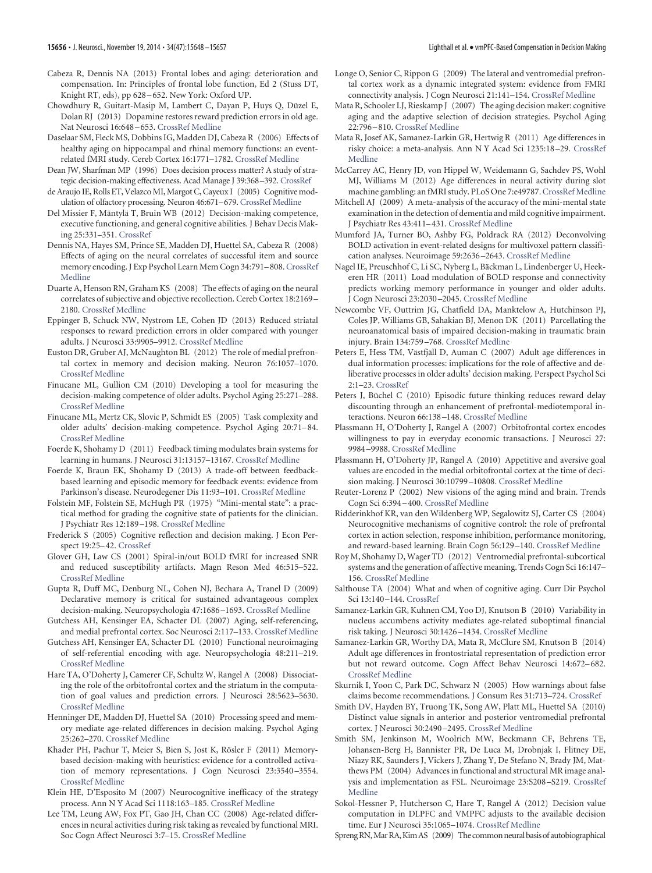- <span id="page-8-32"></span><span id="page-8-7"></span>Chowdhury R, Guitart-Masip M, Lambert C, Dayan P, Huys Q, Düzel E, Dolan RJ (2013) Dopamine restores reward prediction errors in old age. Nat Neurosci 16:648 –653. [CrossRef](http://dx.doi.org/10.1038/nn.3364) [Medline](http://www.ncbi.nlm.nih.gov/pubmed/23525044)
- <span id="page-8-35"></span>Daselaar SM, Fleck MS, Dobbins IG, Madden DJ, Cabeza R (2006) Effects of healthy aging on hippocampal and rhinal memory functions: an eventrelated fMRI study. Cereb Cortex 16:1771–1782. [CrossRef](http://dx.doi.org/10.1093/cercor/bhj112) [Medline](http://www.ncbi.nlm.nih.gov/pubmed/16421332)
- <span id="page-8-0"></span>Dean JW, Sharfman MP (1996) Does decision process matter? A study of strategic decision-making effectiveness. Acad Manage J 39:368 –392. [CrossRef](http://dx.doi.org/10.2307/256784)
- <span id="page-8-16"></span>de Araujo IE, Rolls ET, Velazco MI, Margot C, Cayeux I (2005) Cognitive modulation of olfactory processing. Neuron 46:671–679. [CrossRef](http://dx.doi.org/10.1016/j.neuron.2005.04.021) [Medline](http://www.ncbi.nlm.nih.gov/pubmed/15944134)
- <span id="page-8-40"></span>Del Missier F, Mäntylä T, Bruin WB (2012) Decision-making competence, executive functioning, and general cognitive abilities. J Behav Decis Making 25:331–351. [CrossRef](http://dx.doi.org/10.1002/bdm.731)
- <span id="page-8-36"></span>Dennis NA, Hayes SM, Prince SE, Madden DJ, Huettel SA, Cabeza R (2008) Effects of aging on the neural correlates of successful item and source memory encoding. J Exp Psychol Learn Mem Cogn 34:791–808.[CrossRef](http://dx.doi.org/10.1037/0278-7393.34.4.791) [Medline](http://www.ncbi.nlm.nih.gov/pubmed/18605869)
- <span id="page-8-23"></span>Duarte A, Henson RN, Graham KS (2008) The effects of aging on the neural correlates of subjective and objective recollection. Cereb Cortex 18:2169 – 2180. [CrossRef](http://dx.doi.org/10.1093/cercor/bhm243) [Medline](http://www.ncbi.nlm.nih.gov/pubmed/18165281)
- <span id="page-8-33"></span>Eppinger B, Schuck NW, Nystrom LE, Cohen JD (2013) Reduced striatal responses to reward prediction errors in older compared with younger adults. J Neurosci 33:9905–9912. [CrossRef](http://dx.doi.org/10.1523/JNEUROSCI.2942-12.2013) [Medline](http://www.ncbi.nlm.nih.gov/pubmed/23761885)
- <span id="page-8-21"></span>Euston DR, Gruber AJ, McNaughton BL (2012) The role of medial prefrontal cortex in memory and decision making. Neuron 76:1057–1070. [CrossRef](http://dx.doi.org/10.1016/j.neuron.2012.12.002) [Medline](http://www.ncbi.nlm.nih.gov/pubmed/23259943)
- <span id="page-8-10"></span>Finucane ML, Gullion CM (2010) Developing a tool for measuring the decision-making competence of older adults. Psychol Aging 25:271–288. [CrossRef](http://dx.doi.org/10.1037/a0019106) [Medline](http://www.ncbi.nlm.nih.gov/pubmed/20545413)
- <span id="page-8-11"></span>Finucane ML, Mertz CK, Slovic P, Schmidt ES (2005) Task complexity and older adults' decision-making competence. Psychol Aging 20:71–84. [CrossRef](http://dx.doi.org/10.1037/0882-7974.20.1.71) [Medline](http://www.ncbi.nlm.nih.gov/pubmed/15769215)
- <span id="page-8-45"></span>Foerde K, Shohamy D (2011) Feedback timing modulates brain systems for learning in humans. J Neurosci 31:13157–13167. [CrossRef](http://dx.doi.org/10.1523/JNEUROSCI.2701-11.2011) [Medline](http://www.ncbi.nlm.nih.gov/pubmed/21917799)
- <span id="page-8-46"></span>Foerde K, Braun EK, Shohamy D (2013) A trade-off between feedbackbased learning and episodic memory for feedback events: evidence from Parkinson's disease. Neurodegener Dis 11:93–101. [CrossRef](http://dx.doi.org/10.1159/000342000) [Medline](http://www.ncbi.nlm.nih.gov/pubmed/23036965)
- <span id="page-8-8"></span>Folstein MF, Folstein SE, McHugh PR (1975) "Mini-mental state": a practical method for grading the cognitive state of patients for the clinician. J Psychiatr Res 12:189 –198. [CrossRef](http://dx.doi.org/10.1016/0022-3956(75)90026-6) [Medline](http://www.ncbi.nlm.nih.gov/pubmed/1202204)
- <span id="page-8-12"></span>Frederick S (2005) Cognitive reflection and decision making. J Econ Perspect 19:25–42. [CrossRef](http://dx.doi.org/10.1257/089533005775196732)
- <span id="page-8-13"></span>Glover GH, Law CS (2001) Spiral-in/out BOLD fMRI for increased SNR and reduced susceptibility artifacts. Magn Reson Med 46:515–522. [CrossRef](http://dx.doi.org/10.1002/mrm.1222) [Medline](http://www.ncbi.nlm.nih.gov/pubmed/11550244)
- <span id="page-8-42"></span>Gupta R, Duff MC, Denburg NL, Cohen NJ, Bechara A, Tranel D (2009) Declarative memory is critical for sustained advantageous complex decision-making. Neuropsychologia 47:1686 –1693. [CrossRef](http://dx.doi.org/10.1016/j.neuropsychologia.2009.02.007) [Medline](http://www.ncbi.nlm.nih.gov/pubmed/19397863)
- <span id="page-8-18"></span>Gutchess AH, Kensinger EA, Schacter DL (2007) Aging, self-referencing, and medial prefrontal cortex. Soc Neurosci 2:117–133. [CrossRef](http://dx.doi.org/10.1080/17470910701399029) [Medline](http://www.ncbi.nlm.nih.gov/pubmed/18633811)
- <span id="page-8-19"></span>Gutchess AH, Kensinger EA, Schacter DL (2010) Functional neuroimaging of self-referential encoding with age. Neuropsychologia 48:211–219. [CrossRef](http://dx.doi.org/10.1016/j.neuropsychologia.2009.09.006) [Medline](http://www.ncbi.nlm.nih.gov/pubmed/19765600)
- <span id="page-8-27"></span>Hare TA, O'Doherty J, Camerer CF, Schultz W, Rangel A (2008) Dissociating the role of the orbitofrontal cortex and the striatum in the computation of goal values and prediction errors. J Neurosci 28:5623–5630. [CrossRef](http://dx.doi.org/10.1523/JNEUROSCI.1309-08.2008) [Medline](http://www.ncbi.nlm.nih.gov/pubmed/18509023)
- <span id="page-8-3"></span>Henninger DE, Madden DJ, Huettel SA (2010) Processing speed and memory mediate age-related differences in decision making. Psychol Aging 25:262–270. [CrossRef](http://dx.doi.org/10.1037/a0019096) [Medline](http://www.ncbi.nlm.nih.gov/pubmed/20545412)
- <span id="page-8-47"></span>Khader PH, Pachur T, Meier S, Bien S, Jost K, Rösler F (2011) Memorybased decision-making with heuristics: evidence for a controlled activation of memory representations. J Cogn Neurosci 23:3540 –3554. [CrossRef](http://dx.doi.org/10.1162/jocn_a_00059) [Medline](http://www.ncbi.nlm.nih.gov/pubmed/21568641)
- <span id="page-8-1"></span>Klein HE, D'Esposito M (2007) Neurocognitive inefficacy of the strategy process. Ann N Y Acad Sci 1118:163–185. [CrossRef](http://dx.doi.org/10.1196/annals.1412.012) [Medline](http://www.ncbi.nlm.nih.gov/pubmed/17804524)
- <span id="page-8-24"></span>Lee TM, Leung AW, Fox PT, Gao JH, Chan CC (2008) Age-related differences in neural activities during risk taking as revealed by functional MRI. Soc Cogn Affect Neurosci 3:7–15. [CrossRef](http://dx.doi.org/10.1093/scan/nsm033) [Medline](http://www.ncbi.nlm.nih.gov/pubmed/19015090)
- <span id="page-8-38"></span>Longe O, Senior C, Rippon G (2009) The lateral and ventromedial prefrontal cortex work as a dynamic integrated system: evidence from FMRI connectivity analysis. J Cogn Neurosci 21:141–154. [CrossRef](http://dx.doi.org/10.1162/jocn.2009.21012) [Medline](http://www.ncbi.nlm.nih.gov/pubmed/18476765)
- <span id="page-8-5"></span>Mata R, Schooler LJ, Rieskamp J (2007) The aging decision maker: cognitive aging and the adaptive selection of decision strategies. Psychol Aging 22:796 –810. [CrossRef](http://dx.doi.org/10.1037/0882-7974.22.4.796) [Medline](http://www.ncbi.nlm.nih.gov/pubmed/18179298)
- <span id="page-8-4"></span>Mata R, Josef AK, Samanez-Larkin GR, Hertwig R (2011) Age differences in risky choice: a meta-analysis. Ann N Y Acad Sci 1235:18 –29. [CrossRef](http://dx.doi.org/10.1111/j.1749-6632.2011.06200.x) [Medline](http://www.ncbi.nlm.nih.gov/pubmed/22023565)
- <span id="page-8-25"></span>McCarrey AC, Henry JD, von Hippel W, Weidemann G, Sachdev PS, Wohl MJ, Williams M (2012) Age differences in neural activity during slot machine gambling: an fMRI study. PLoS One 7:e49787.[CrossRef](http://dx.doi.org/10.1371/journal.pone.0049787) [Medline](http://www.ncbi.nlm.nih.gov/pubmed/23209599)
- <span id="page-8-9"></span>Mitchell AJ (2009) A meta-analysis of the accuracy of the mini-mental state examination in the detection of dementia and mild cognitive impairment. J Psychiatr Res 43:411–431. [CrossRef](http://dx.doi.org/10.1016/j.jpsychires.2008.04.014) [Medline](http://www.ncbi.nlm.nih.gov/pubmed/18579155)
- <span id="page-8-15"></span>Mumford JA, Turner BO, Ashby FG, Poldrack RA (2012) Deconvolving BOLD activation in event-related designs for multivoxel pattern classification analyses. Neuroimage 59:2636 –2643. [CrossRef](http://dx.doi.org/10.1016/j.neuroimage.2011.08.076) [Medline](http://www.ncbi.nlm.nih.gov/pubmed/21924359)
- <span id="page-8-37"></span>Nagel IE, Preuschhof C, Li SC, Nyberg L, Bäckman L, Lindenberger U, Heekeren HR (2011) Load modulation of BOLD response and connectivity predicts working memory performance in younger and older adults. J Cogn Neurosci 23:2030 –2045. [CrossRef](http://dx.doi.org/10.1162/jocn.2010.21560) [Medline](http://www.ncbi.nlm.nih.gov/pubmed/20828302)
- <span id="page-8-43"></span>Newcombe VF, Outtrim JG, Chatfield DA, Manktelow A, Hutchinson PJ, Coles JP, Williams GB, Sahakian BJ, Menon DK (2011) Parcellating the neuroanatomical basis of impaired decision-making in traumatic brain injury. Brain 134:759 –768. [CrossRef](http://dx.doi.org/10.1093/brain/awq388) [Medline](http://www.ncbi.nlm.nih.gov/pubmed/21310727)
- <span id="page-8-39"></span>Peters E, Hess TM, Västfjäll D, Auman C (2007) Adult age differences in dual information processes: implications for the role of affective and deliberative processes in older adults' decision making. Perspect Psychol Sci 2:1–23. [CrossRef](http://dx.doi.org/10.1111/j.1745-6916.2007.00025.x)
- <span id="page-8-44"></span>Peters J, Büchel C (2010) Episodic future thinking reduces reward delay discounting through an enhancement of prefrontal-mediotemporal interactions. Neuron 66:138 –148. [CrossRef](http://dx.doi.org/10.1016/j.neuron.2010.03.026) [Medline](http://www.ncbi.nlm.nih.gov/pubmed/20399735)
- <span id="page-8-26"></span>Plassmann H, O'Doherty J, Rangel A (2007) Orbitofrontal cortex encodes willingness to pay in everyday economic transactions. J Neurosci 27: 9984 –9988. [CrossRef](http://dx.doi.org/10.1523/JNEUROSCI.2131-07.2007) [Medline](http://www.ncbi.nlm.nih.gov/pubmed/17855612)
- <span id="page-8-28"></span>Plassmann H, O'Doherty JP, Rangel A (2010) Appetitive and aversive goal values are encoded in the medial orbitofrontal cortex at the time of decision making. J Neurosci 30:10799 –10808. [CrossRef](http://dx.doi.org/10.1523/JNEUROSCI.0788-10.2010) [Medline](http://www.ncbi.nlm.nih.gov/pubmed/20702709)
- <span id="page-8-34"></span>Reuter-Lorenz P (2002) New visions of the aging mind and brain. Trends Cogn Sci 6:394 –400. [CrossRef](http://dx.doi.org/10.1016/S1364-6613(02)01957-5) [Medline](http://www.ncbi.nlm.nih.gov/pubmed/12200182)
- <span id="page-8-41"></span>Ridderinkhof KR, van den Wildenberg WP, Segalowitz SJ, Carter CS (2004) Neurocognitive mechanisms of cognitive control: the role of prefrontal cortex in action selection, response inhibition, performance monitoring, and reward-based learning. Brain Cogn 56:129 –140. [CrossRef](http://dx.doi.org/10.1016/j.bandc.2004.09.016) [Medline](http://www.ncbi.nlm.nih.gov/pubmed/15518930)
- <span id="page-8-22"></span>Roy M, Shohamy D, Wager TD (2012) Ventromedial prefrontal-subcortical systems and the generation of affective meaning. Trends Cogn Sci 16:147– 156. [CrossRef](http://dx.doi.org/10.1016/j.tics.2012.01.005) [Medline](http://www.ncbi.nlm.nih.gov/pubmed/22310704)
- <span id="page-8-2"></span>Salthouse TA (2004) What and when of cognitive aging. Curr Dir Psychol Sci 13:140 –144. [CrossRef](http://dx.doi.org/10.1111/j.0963-7214.2004.00293.x)
- <span id="page-8-30"></span>Samanez-Larkin GR, Kuhnen CM, Yoo DJ, Knutson B (2010) Variability in nucleus accumbens activity mediates age-related suboptimal financial risk taking. J Neurosci 30:1426 –1434. [CrossRef](http://dx.doi.org/10.1523/JNEUROSCI.4902-09.2010) [Medline](http://www.ncbi.nlm.nih.gov/pubmed/20107069)
- <span id="page-8-31"></span>Samanez-Larkin GR, Worthy DA, Mata R, McClure SM, Knutson B (2014) Adult age differences in frontostriatal representation of prediction error but not reward outcome. Cogn Affect Behav Neurosci 14:672–682. [CrossRef](http://dx.doi.org/10.3758/s13415-014-0297-4) [Medline](http://www.ncbi.nlm.nih.gov/pubmed/24853269)
- <span id="page-8-6"></span>Skurnik I, Yoon C, Park DC, Schwarz N (2005) How warnings about false claims become recommendations. J Consum Res 31:713–724. [CrossRef](http://dx.doi.org/10.1086/426605)
- <span id="page-8-17"></span>Smith DV, Hayden BY, Truong TK, Song AW, Platt ML, Huettel SA (2010) Distinct value signals in anterior and posterior ventromedial prefrontal cortex. J Neurosci 30:2490 –2495. [CrossRef](http://dx.doi.org/10.1523/JNEUROSCI.3319-09.2010) [Medline](http://www.ncbi.nlm.nih.gov/pubmed/20164333)
- <span id="page-8-14"></span>Smith SM, Jenkinson M, Woolrich MW, Beckmann CF, Behrens TE, Johansen-Berg H, Bannister PR, De Luca M, Drobnjak I, Flitney DE, Niazy RK, Saunders J, Vickers J, Zhang Y, De Stefano N, Brady JM, Matthews PM (2004) Advances in functional and structural MR image analysis and implementation as FSL. Neuroimage 23:S208 –S219. [CrossRef](http://dx.doi.org/10.1016/j.neuroimage.2004.07.051) [Medline](http://www.ncbi.nlm.nih.gov/pubmed/15501092)
- <span id="page-8-29"></span>Sokol-Hessner P, Hutcherson C, Hare T, Rangel A (2012) Decision value computation in DLPFC and VMPFC adjusts to the available decision time. Eur J Neurosci 35:1065–1074. [CrossRef](http://dx.doi.org/10.1111/j.1460-9568.2012.08076.x) [Medline](http://www.ncbi.nlm.nih.gov/pubmed/22487036)
- <span id="page-8-20"></span>Spreng RN, Mar RA, Kim AS (2009) The common neural basis of autobiographical